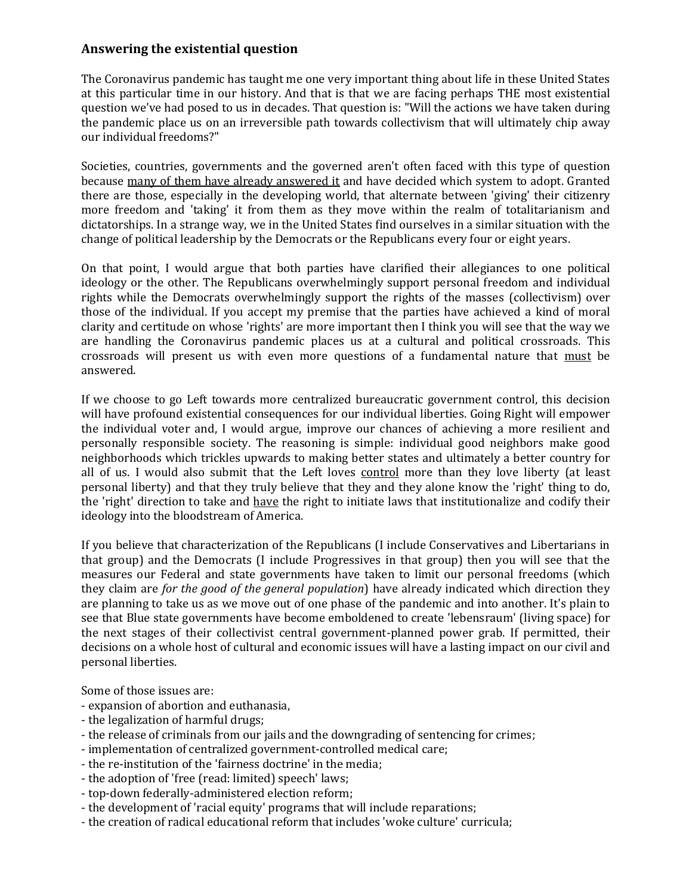## **Answering the existential question**

The Coronavirus pandemic has taught me one very important thing about life in these United States at this particular time in our history. And that is that we are facing perhaps THE most existential question we've had posed to us in decades. That question is: "Will the actions we have taken during the pandemic place us on an irreversible path towards collectivism that will ultimately chip away our individual freedoms?"

Societies, countries, governments and the governed aren't often faced with this type of question because many of them have already answered it and have decided which system to adopt. Granted there are those, especially in the developing world, that alternate between 'giving' their citizenry more freedom and 'taking' it from them as they move within the realm of totalitarianism and dictatorships. In a strange way, we in the United States find ourselves in a similar situation with the change of political leadership by the Democrats or the Republicans every four or eight years.

On that point, I would argue that both parties have clarified their allegiances to one political ideology or the other. The Republicans overwhelmingly support personal freedom and individual rights while the Democrats overwhelmingly support the rights of the masses (collectivism) over those of the individual. If you accept my premise that the parties have achieved a kind of moral clarity and certitude on whose 'rights' are more important then I think you will see that the way we are handling the Coronavirus pandemic places us at a cultural and political crossroads. This crossroads will present us with even more questions of a fundamental nature that must be answered.

If we choose to go Left towards more centralized bureaucratic government control, this decision will have profound existential consequences for our individual liberties. Going Right will empower the individual voter and, I would argue, improve our chances of achieving a more resilient and personally responsible society. The reasoning is simple: individual good neighbors make good neighborhoods which trickles upwards to making better states and ultimately a better country for all of us. I would also submit that the Left loves control more than they love liberty (at least personal liberty) and that they truly believe that they and they alone know the 'right' thing to do, the 'right' direction to take and have the right to initiate laws that institutionalize and codify their ideology into the bloodstream of America.

If you believe that characterization of the Republicans (I include Conservatives and Libertarians in that group) and the Democrats (I include Progressives in that group) then you will see that the measures our Federal and state governments have taken to limit our personal freedoms (which they claim are *for the good of the general population*) have already indicated which direction they are planning to take us as we move out of one phase of the pandemic and into another. It's plain to see that Blue state governments have become emboldened to create 'lebensraum' (living space) for the next stages of their collectivist central government-planned power grab. If permitted, their decisions on a whole host of cultural and economic issues will have a lasting impact on our civil and personal liberties.

Some of those issues are:

- expansion of abortion and euthanasia,
- the legalization of harmful drugs;
- the release of criminals from our jails and the downgrading of sentencing for crimes;
- implementation of centralized government-controlled medical care;
- the re-institution of the 'fairness doctrine' in the media;
- the adoption of 'free (read: limited) speech' laws;
- top-down federally-administered election reform;
- the development of 'racial equity' programs that will include reparations;
- the creation of radical educational reform that includes 'woke culture' curricula;